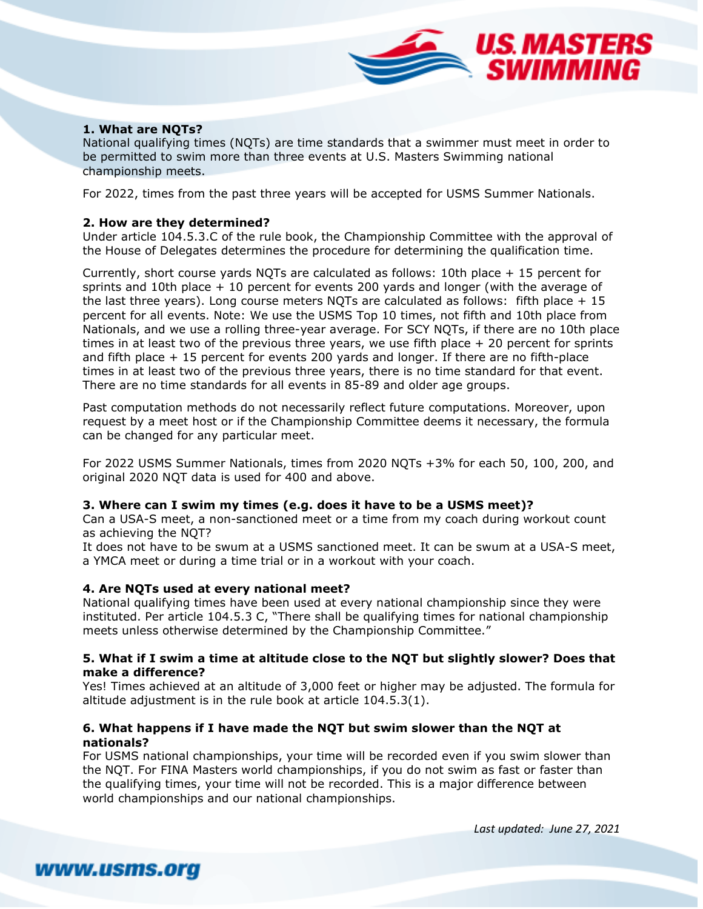

# **1. What are NQTs?**

National qualifying times (NQTs) are time standards that a swimmer must meet in order to be permitted to swim more than three events at U.S. Masters Swimming national championship meets.

For 2022, times from the past three years will be accepted for USMS Summer Nationals.

## **2. How are they determined?**

Under article 104.5.3.C of the rule book, the Championship Committee with the approval of the House of Delegates determines the procedure for determining the qualification time.

Currently, short course yards NQTs are calculated as follows: 10th place + 15 percent for sprints and 10th place + 10 percent for events 200 yards and longer (with the average of the last three years). Long course meters NQTs are calculated as follows: fifth place  $+15$ percent for all events. Note: We use the USMS Top 10 times, not fifth and 10th place from Nationals, and we use a rolling three-year average. For SCY NQTs, if there are no 10th place times in at least two of the previous three years, we use fifth place  $+20$  percent for sprints and fifth place + 15 percent for events 200 yards and longer. If there are no fifth-place times in at least two of the previous three years, there is no time standard for that event. There are no time standards for all events in 85-89 and older age groups.

Past computation methods do not necessarily reflect future computations. Moreover, upon request by a meet host or if the Championship Committee deems it necessary, the formula can be changed for any particular meet.

For 2022 USMS Summer Nationals, times from 2020 NQTs +3% for each 50, 100, 200, and original 2020 NQT data is used for 400 and above.

### **3. Where can I swim my times (e.g. does it have to be a USMS meet)?**

Can a USA-S meet, a non-sanctioned meet or a time from my coach during workout count as achieving the NQT?

It does not have to be swum at a USMS sanctioned meet. It can be swum at a USA-S meet, a YMCA meet or during a time trial or in a workout with your coach.

### **4. Are NQTs used at every national meet?**

National qualifying times have been used at every national championship since they were instituted. Per article 104.5.3 C, "There shall be qualifying times for national championship meets unless otherwise determined by the Championship Committee."

## **5. What if I swim a time at altitude close to the NQT but slightly slower? Does that make a difference?**

Yes! Times achieved at an altitude of 3,000 feet or higher may be adjusted. The formula for altitude adjustment is in the rule book at article 104.5.3(1).

# **6. What happens if I have made the NQT but swim slower than the NQT at nationals?**

For USMS national championships, your time will be recorded even if you swim slower than the NQT. For FINA Masters world championships, if you do not swim as fast or faster than the qualifying times, your time will not be recorded. This is a major difference between world championships and our national championships.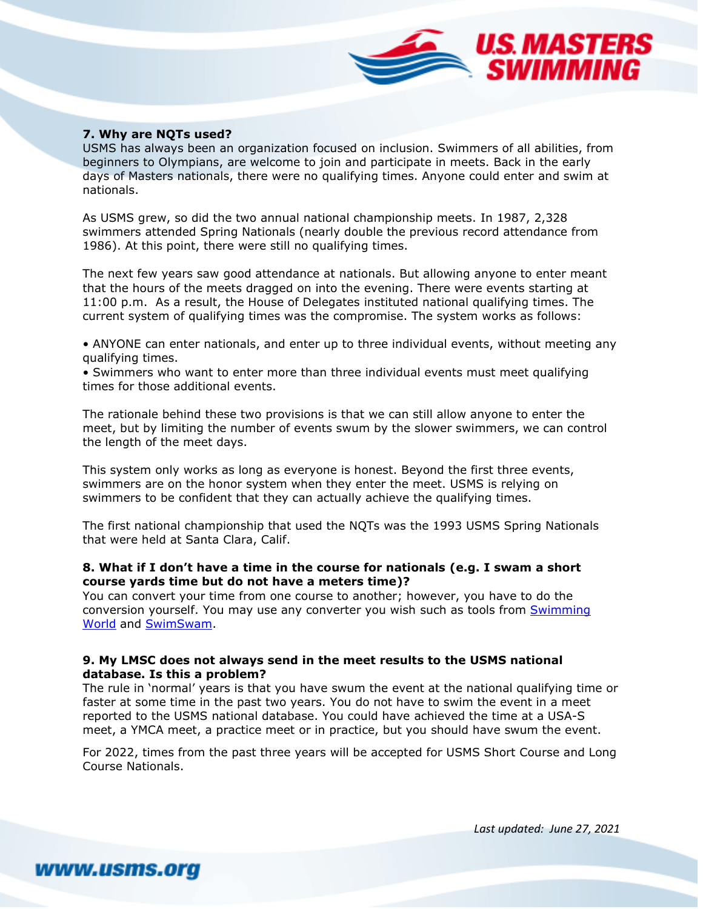

# **7. Why are NQTs used?**

USMS has always been an organization focused on inclusion. Swimmers of all abilities, from beginners to Olympians, are welcome to join and participate in meets. Back in the early days of Masters nationals, there were no qualifying times. Anyone could enter and swim at nationals.

As USMS grew, so did the two annual national championship meets. In 1987, 2,328 swimmers attended Spring Nationals (nearly double the previous record attendance from 1986). At this point, there were still no qualifying times.

The next few years saw good attendance at nationals. But allowing anyone to enter meant that the hours of the meets dragged on into the evening. There were events starting at 11:00 p.m. As a result, the House of Delegates instituted national qualifying times. The current system of qualifying times was the compromise. The system works as follows:

• ANYONE can enter nationals, and enter up to three individual events, without meeting any qualifying times.

• Swimmers who want to enter more than three individual events must meet qualifying times for those additional events.

The rationale behind these two provisions is that we can still allow anyone to enter the meet, but by limiting the number of events swum by the slower swimmers, we can control the length of the meet days.

This system only works as long as everyone is honest. Beyond the first three events, swimmers are on the honor system when they enter the meet. USMS is relying on swimmers to be confident that they can actually achieve the qualifying times.

The first national championship that used the NQTs was the 1993 USMS Spring Nationals that were held at Santa Clara, Calif.

## **8. What if I don't have a time in the course for nationals (e.g. I swam a short course yards time but do not have a meters time)?**

You can convert your time from one course to another; however, you have to do the conversion yourself. You may use any converter you wish such as tools from [Swimming](http://www.swimmingworldmagazine.com/time-conversion)  [World](http://www.swimmingworldmagazine.com/time-conversion) and [SwimSwam.](https://swimswam.com/swimming-times-conversion-tool/)

### **9. My LMSC does not always send in the meet results to the USMS national database. Is this a problem?**

The rule in 'normal' years is that you have swum the event at the national qualifying time or faster at some time in the past two years. You do not have to swim the event in a meet reported to the USMS national database. You could have achieved the time at a USA-S meet, a YMCA meet, a practice meet or in practice, but you should have swum the event.

For 2022, times from the past three years will be accepted for USMS Short Course and Long Course Nationals.

*Last updated: June 27, 2021*

www.usms.org